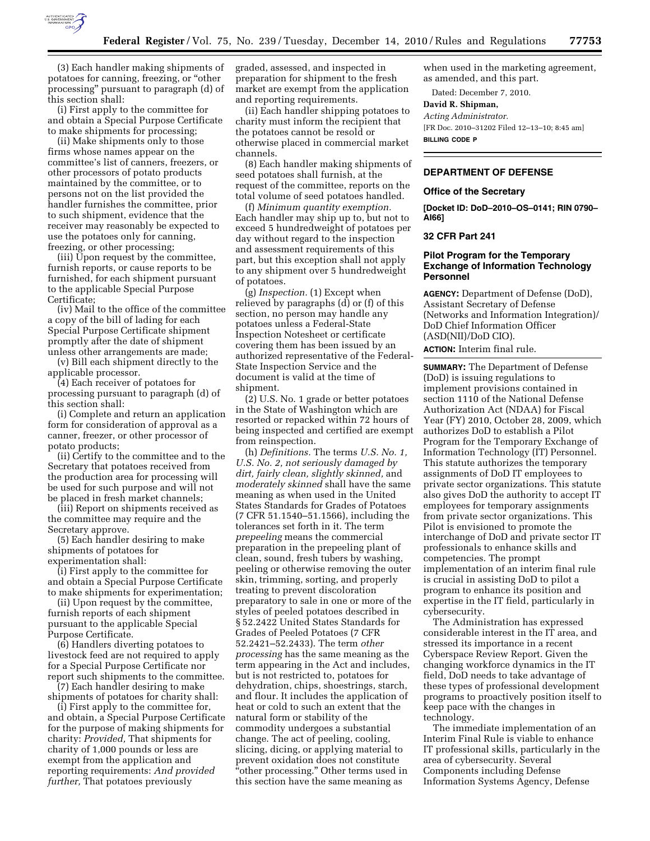

(3) Each handler making shipments of potatoes for canning, freezing, or ''other processing'' pursuant to paragraph (d) of this section shall:

(i) First apply to the committee for and obtain a Special Purpose Certificate to make shipments for processing;

(ii) Make shipments only to those firms whose names appear on the committee's list of canners, freezers, or other processors of potato products maintained by the committee, or to persons not on the list provided the handler furnishes the committee, prior to such shipment, evidence that the receiver may reasonably be expected to use the potatoes only for canning, freezing, or other processing;

(iii) Upon request by the committee, furnish reports, or cause reports to be furnished, for each shipment pursuant to the applicable Special Purpose Certificate;

(iv) Mail to the office of the committee a copy of the bill of lading for each Special Purpose Certificate shipment promptly after the date of shipment unless other arrangements are made;

(v) Bill each shipment directly to the applicable processor.

(4) Each receiver of potatoes for processing pursuant to paragraph (d) of this section shall:

(i) Complete and return an application form for consideration of approval as a canner, freezer, or other processor of potato products;

(ii) Certify to the committee and to the Secretary that potatoes received from the production area for processing will be used for such purpose and will not be placed in fresh market channels;

(iii) Report on shipments received as the committee may require and the Secretary approve.

(5) Each handler desiring to make shipments of potatoes for experimentation shall:

(i) First apply to the committee for and obtain a Special Purpose Certificate to make shipments for experimentation;

(ii) Upon request by the committee, furnish reports of each shipment pursuant to the applicable Special Purpose Certificate.

(6) Handlers diverting potatoes to livestock feed are not required to apply for a Special Purpose Certificate nor report such shipments to the committee. (7) Each handler desiring to make

shipments of potatoes for charity shall:

(i) First apply to the committee for, and obtain, a Special Purpose Certificate for the purpose of making shipments for charity: *Provided,* That shipments for charity of 1,000 pounds or less are exempt from the application and reporting requirements: *And provided further,* That potatoes previously

graded, assessed, and inspected in preparation for shipment to the fresh market are exempt from the application and reporting requirements.

(ii) Each handler shipping potatoes to charity must inform the recipient that the potatoes cannot be resold or otherwise placed in commercial market channels.

(8) Each handler making shipments of seed potatoes shall furnish, at the request of the committee, reports on the total volume of seed potatoes handled.

(f) *Minimum quantity exemption.*  Each handler may ship up to, but not to exceed 5 hundredweight of potatoes per day without regard to the inspection and assessment requirements of this part, but this exception shall not apply to any shipment over 5 hundredweight of potatoes.

(g) *Inspection.* (1) Except when relieved by paragraphs (d) or (f) of this section, no person may handle any potatoes unless a Federal-State Inspection Notesheet or certificate covering them has been issued by an authorized representative of the Federal-State Inspection Service and the document is valid at the time of shipment.

(2) U.S. No. 1 grade or better potatoes in the State of Washington which are resorted or repacked within 72 hours of being inspected and certified are exempt from reinspection.

(h) *Definitions.* The terms *U.S. No. 1, U.S. No. 2, not seriously damaged by dirt, fairly clean, slightly skinned,* and *moderately skinned* shall have the same meaning as when used in the United States Standards for Grades of Potatoes (7 CFR 51.1540–51.1566), including the tolerances set forth in it. The term *prepeeling* means the commercial preparation in the prepeeling plant of clean, sound, fresh tubers by washing, peeling or otherwise removing the outer skin, trimming, sorting, and properly treating to prevent discoloration preparatory to sale in one or more of the styles of peeled potatoes described in § 52.2422 United States Standards for Grades of Peeled Potatoes (7 CFR 52.2421–52.2433). The term *other processing* has the same meaning as the term appearing in the Act and includes, but is not restricted to, potatoes for dehydration, chips, shoestrings, starch, and flour. It includes the application of heat or cold to such an extent that the natural form or stability of the commodity undergoes a substantial change. The act of peeling, cooling, slicing, dicing, or applying material to prevent oxidation does not constitute "other processing." Other terms used in this section have the same meaning as

when used in the marketing agreement, as amended, and this part.

Dated: December 7, 2010.

# **David R. Shipman,**

*Acting Administrator.*  [FR Doc. 2010–31202 Filed 12–13–10; 8:45 am] **BILLING CODE P** 

### **DEPARTMENT OF DEFENSE**

#### **Office of the Secretary**

**[Docket ID: DoD–2010–OS–0141; RIN 0790– AI66]** 

# **32 CFR Part 241**

# **Pilot Program for the Temporary Exchange of Information Technology Personnel**

**AGENCY:** Department of Defense (DoD), Assistant Secretary of Defense (Networks and Information Integration)/ DoD Chief Information Officer (ASD(NII)/DoD CIO).

**ACTION:** Interim final rule.

**SUMMARY:** The Department of Defense (DoD) is issuing regulations to implement provisions contained in section 1110 of the National Defense Authorization Act (NDAA) for Fiscal Year (FY) 2010, October 28, 2009, which authorizes DoD to establish a Pilot Program for the Temporary Exchange of Information Technology (IT) Personnel. This statute authorizes the temporary assignments of DoD IT employees to private sector organizations. This statute also gives DoD the authority to accept IT employees for temporary assignments from private sector organizations. This Pilot is envisioned to promote the interchange of DoD and private sector IT professionals to enhance skills and competencies. The prompt implementation of an interim final rule is crucial in assisting DoD to pilot a program to enhance its position and expertise in the IT field, particularly in cybersecurity.

The Administration has expressed considerable interest in the IT area, and stressed its importance in a recent Cyberspace Review Report. Given the changing workforce dynamics in the IT field, DoD needs to take advantage of these types of professional development programs to proactively position itself to keep pace with the changes in technology.

The immediate implementation of an Interim Final Rule is viable to enhance IT professional skills, particularly in the area of cybersecurity. Several Components including Defense Information Systems Agency, Defense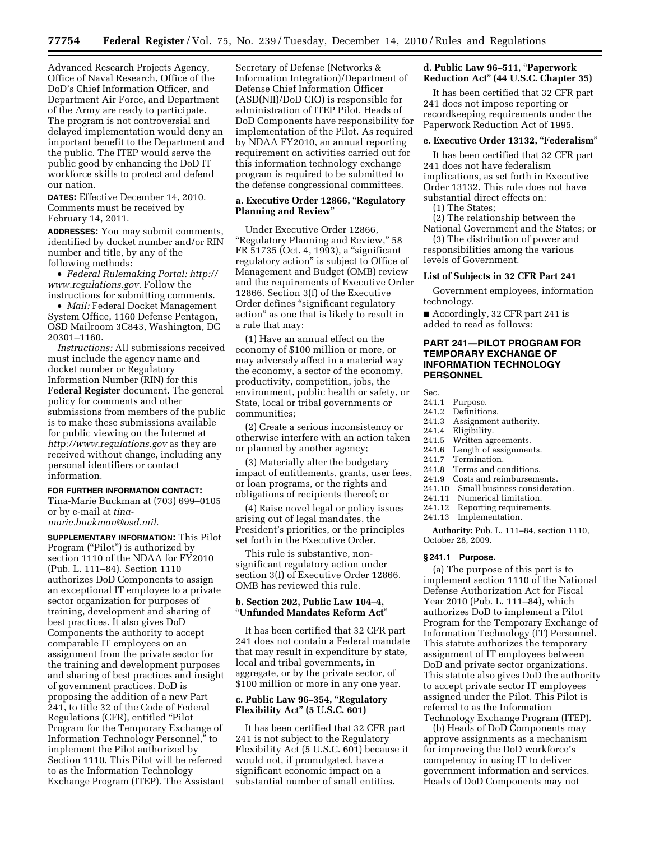Advanced Research Projects Agency, Office of Naval Research, Office of the DoD's Chief Information Officer, and Department Air Force, and Department of the Army are ready to participate. The program is not controversial and delayed implementation would deny an important benefit to the Department and the public. The ITEP would serve the public good by enhancing the DoD IT workforce skills to protect and defend our nation.

**DATES:** Effective December 14, 2010. Comments must be received by February 14, 2011.

**ADDRESSES:** You may submit comments, identified by docket number and/or RIN number and title, by any of the following methods:

• *Federal Rulemaking Portal: [http://](http://www.regulations.gov) [www.regulations.gov](http://www.regulations.gov)*. Follow the instructions for submitting comments.

• *Mail:* Federal Docket Management System Office, 1160 Defense Pentagon, OSD Mailroom 3C843, Washington, DC 20301–1160.

*Instructions:* All submissions received must include the agency name and docket number or Regulatory Information Number (RIN) for this **Federal Register** document. The general policy for comments and other submissions from members of the public is to make these submissions available for public viewing on the Internet at *<http://www.regulations.gov>* as they are received without change, including any personal identifiers or contact information.

#### **FOR FURTHER INFORMATION CONTACT:**

Tina-Marie Buckman at (703) 699–0105 or by e-mail at *[tina](mailto:tina-marie.buckman@osd.mil)[marie.buckman@osd.mil.](mailto:tina-marie.buckman@osd.mil)* 

**SUPPLEMENTARY INFORMATION:** This Pilot Program ("Pilot") is authorized by section 1110 of the NDAA for FY2010 (Pub. L. 111–84). Section 1110 authorizes DoD Components to assign an exceptional IT employee to a private sector organization for purposes of training, development and sharing of best practices. It also gives DoD Components the authority to accept comparable IT employees on an assignment from the private sector for the training and development purposes and sharing of best practices and insight of government practices. DoD is proposing the addition of a new Part 241, to title 32 of the Code of Federal Regulations (CFR), entitled ''Pilot Program for the Temporary Exchange of Information Technology Personnel,'' to implement the Pilot authorized by Section 1110. This Pilot will be referred to as the Information Technology Exchange Program (ITEP). The Assistant

Secretary of Defense (Networks & Information Integration)/Department of Defense Chief Information Officer (ASD(NII)/DoD CIO) is responsible for administration of ITEP Pilot. Heads of DoD Components have responsibility for implementation of the Pilot. As required by NDAA FY2010, an annual reporting requirement on activities carried out for this information technology exchange program is required to be submitted to the defense congressional committees.

# **a. Executive Order 12866,** ''**Regulatory Planning and Review**''

Under Executive Order 12866, "Regulatory Planning and Review," 58 FR 51735 (Oct. 4, 1993), a ''significant regulatory action'' is subject to Office of Management and Budget (OMB) review and the requirements of Executive Order 12866. Section 3(f) of the Executive Order defines ''significant regulatory action'' as one that is likely to result in a rule that may:

(1) Have an annual effect on the economy of \$100 million or more, or may adversely affect in a material way the economy, a sector of the economy, productivity, competition, jobs, the environment, public health or safety, or State, local or tribal governments or communities;

(2) Create a serious inconsistency or otherwise interfere with an action taken or planned by another agency;

(3) Materially alter the budgetary impact of entitlements, grants, user fees, or loan programs, or the rights and obligations of recipients thereof; or

(4) Raise novel legal or policy issues arising out of legal mandates, the President's priorities, or the principles set forth in the Executive Order.

This rule is substantive, nonsignificant regulatory action under section 3(f) of Executive Order 12866. OMB has reviewed this rule.

### **b. Section 202, Public Law 104–4,**  ''**Unfunded Mandates Reform Act**''

It has been certified that 32 CFR part 241 does not contain a Federal mandate that may result in expenditure by state, local and tribal governments, in aggregate, or by the private sector, of \$100 million or more in any one year.

# **c. Public Law 96–354,** ''**Regulatory Flexibility Act**'' **(5 U.S.C. 601)**

It has been certified that 32 CFR part 241 is not subject to the Regulatory Flexibility Act (5 U.S.C. 601) because it would not, if promulgated, have a significant economic impact on a substantial number of small entities.

# **d. Public Law 96–511,** ''**Paperwork Reduction Act**'' **(44 U.S.C. Chapter 35)**

It has been certified that 32 CFR part 241 does not impose reporting or recordkeeping requirements under the Paperwork Reduction Act of 1995.

### **e. Executive Order 13132,** ''**Federalism**''

It has been certified that 32 CFR part 241 does not have federalism implications, as set forth in Executive Order 13132. This rule does not have substantial direct effects on:

(1) The States;

(2) The relationship between the

National Government and the States; or (3) The distribution of power and

responsibilities among the various levels of Government.

#### **List of Subjects in 32 CFR Part 241**

Government employees, information technology.

■ Accordingly, 32 CFR part 241 is added to read as follows:

# **PART 241—PILOT PROGRAM FOR TEMPORARY EXCHANGE OF INFORMATION TECHNOLOGY PERSONNEL**

Sec.

- 241.1 Purpose.
- 241.2 Definitions.
- 241.3 Assignment authority.
- 241.4 Eligibility.
- 241.5 Written agreements.
- 241.6 Length of assignments.<br>241.7 Termination.
- Termination.
- 241.8 Terms and conditions.
- 241.9 Costs and reimbursements.<br>241.10 Small business considerat
- Small business consideration.
- 241.11 Numerical limitation.
- 241.12 Reporting requirements.
- 241.13 Implementation.

**Authority:** Pub. L. 111–84, section 1110, October 28, 2009.

#### **§ 241.1 Purpose.**

(a) The purpose of this part is to implement section 1110 of the National Defense Authorization Act for Fiscal Year 2010 (Pub. L. 111–84), which authorizes DoD to implement a Pilot Program for the Temporary Exchange of Information Technology (IT) Personnel. This statute authorizes the temporary assignment of IT employees between DoD and private sector organizations. This statute also gives DoD the authority to accept private sector IT employees assigned under the Pilot. This Pilot is referred to as the Information Technology Exchange Program (ITEP).

(b) Heads of DoD Components may approve assignments as a mechanism for improving the DoD workforce's competency in using IT to deliver government information and services. Heads of DoD Components may not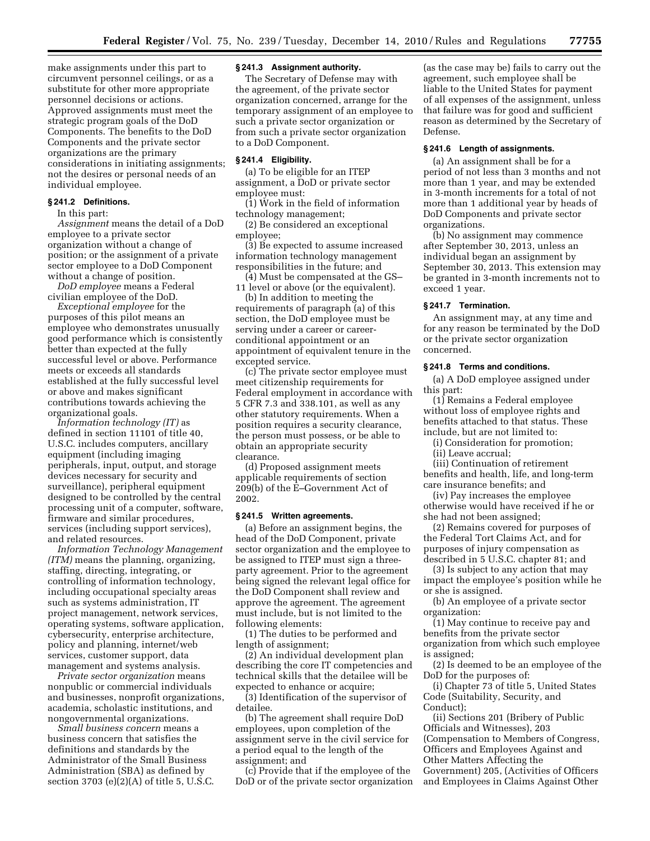make assignments under this part to circumvent personnel ceilings, or as a substitute for other more appropriate personnel decisions or actions. Approved assignments must meet the strategic program goals of the DoD Components. The benefits to the DoD Components and the private sector organizations are the primary considerations in initiating assignments; not the desires or personal needs of an individual employee.

#### **§ 241.2 Definitions.**

In this part:

*Assignment* means the detail of a DoD employee to a private sector organization without a change of position; or the assignment of a private sector employee to a DoD Component without a change of position.

*DoD employee* means a Federal civilian employee of the DoD.

*Exceptional employee* for the purposes of this pilot means an employee who demonstrates unusually good performance which is consistently better than expected at the fully successful level or above. Performance meets or exceeds all standards established at the fully successful level or above and makes significant contributions towards achieving the organizational goals.

*Information technology (IT)* as defined in section 11101 of title 40, U.S.C. includes computers, ancillary equipment (including imaging peripherals, input, output, and storage devices necessary for security and surveillance), peripheral equipment designed to be controlled by the central processing unit of a computer, software, firmware and similar procedures, services (including support services), and related resources.

*Information Technology Management (ITM)* means the planning, organizing, staffing, directing, integrating, or controlling of information technology, including occupational specialty areas such as systems administration, IT project management, network services, operating systems, software application, cybersecurity, enterprise architecture, policy and planning, internet/web services, customer support, data management and systems analysis.

*Private sector organization* means nonpublic or commercial individuals and businesses, nonprofit organizations, academia, scholastic institutions, and nongovernmental organizations.

*Small business concern* means a business concern that satisfies the definitions and standards by the Administrator of the Small Business Administration (SBA) as defined by section 3703 (e)(2)(A) of title 5, U.S.C.

### **§ 241.3 Assignment authority.**

The Secretary of Defense may with the agreement, of the private sector organization concerned, arrange for the temporary assignment of an employee to such a private sector organization or from such a private sector organization to a DoD Component.

#### **§ 241.4 Eligibility.**

(a) To be eligible for an ITEP assignment, a DoD or private sector employee must:

(1) Work in the field of information technology management;

(2) Be considered an exceptional employee;

(3) Be expected to assume increased information technology management responsibilities in the future; and

(4) Must be compensated at the GS– 11 level or above (or the equivalent).

(b) In addition to meeting the requirements of paragraph (a) of this section, the DoD employee must be serving under a career or careerconditional appointment or an appointment of equivalent tenure in the excepted service.

(c) The private sector employee must meet citizenship requirements for Federal employment in accordance with 5 CFR 7.3 and 338.101, as well as any other statutory requirements. When a position requires a security clearance, the person must possess, or be able to obtain an appropriate security clearance.

(d) Proposed assignment meets applicable requirements of section 209(b) of the E–Government Act of 2002.

#### **§ 241.5 Written agreements.**

(a) Before an assignment begins, the head of the DoD Component, private sector organization and the employee to be assigned to ITEP must sign a threeparty agreement. Prior to the agreement being signed the relevant legal office for the DoD Component shall review and approve the agreement. The agreement must include, but is not limited to the following elements:

(1) The duties to be performed and length of assignment;

(2) An individual development plan describing the core IT competencies and technical skills that the detailee will be expected to enhance or acquire;

(3) Identification of the supervisor of detailee.

(b) The agreement shall require DoD employees, upon completion of the assignment serve in the civil service for a period equal to the length of the assignment; and

(c) Provide that if the employee of the DoD or of the private sector organization

(as the case may be) fails to carry out the agreement, such employee shall be liable to the United States for payment of all expenses of the assignment, unless that failure was for good and sufficient reason as determined by the Secretary of Defense.

### **§ 241.6 Length of assignments.**

(a) An assignment shall be for a period of not less than 3 months and not more than 1 year, and may be extended in 3-month increments for a total of not more than 1 additional year by heads of DoD Components and private sector organizations.

(b) No assignment may commence after September 30, 2013, unless an individual began an assignment by September 30, 2013. This extension may be granted in 3-month increments not to exceed 1 year.

### **§ 241.7 Termination.**

An assignment may, at any time and for any reason be terminated by the DoD or the private sector organization concerned.

### **§ 241.8 Terms and conditions.**

(a) A DoD employee assigned under this part:

(1) Remains a Federal employee without loss of employee rights and benefits attached to that status. These include, but are not limited to:

(i) Consideration for promotion;

(ii) Leave accrual;

(iii) Continuation of retirement benefits and health, life, and long-term care insurance benefits; and

(iv) Pay increases the employee otherwise would have received if he or she had not been assigned;

(2) Remains covered for purposes of the Federal Tort Claims Act, and for purposes of injury compensation as described in 5 U.S.C. chapter 81; and

(3) Is subject to any action that may impact the employee's position while he or she is assigned.

(b) An employee of a private sector organization:

(1) May continue to receive pay and benefits from the private sector organization from which such employee is assigned;

(2) Is deemed to be an employee of the DoD for the purposes of:

(i) Chapter 73 of title 5, United States Code (Suitability, Security, and Conduct);

(ii) Sections 201 (Bribery of Public Officials and Witnesses), 203 (Compensation to Members of Congress, Officers and Employees Against and Other Matters Affecting the Government) 205, (Activities of Officers and Employees in Claims Against Other